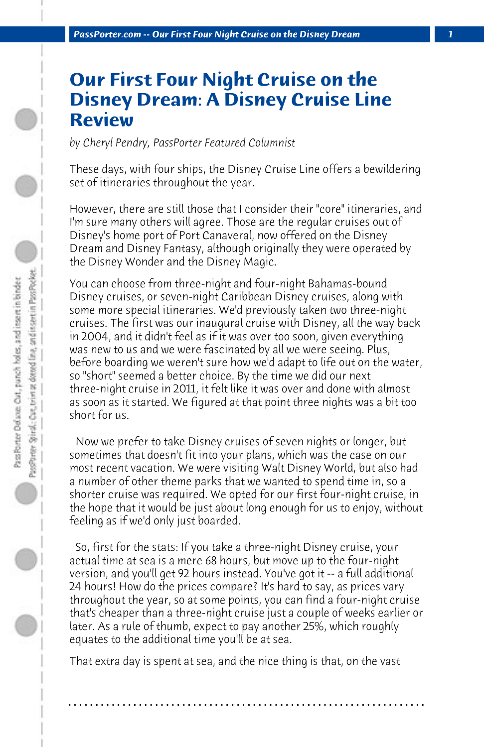## **Our First Four Night Cruise on the Disney Dream: A Disney Cruise Line Review**

*by Cheryl Pendry, PassPorter Featured Columnist*

These days, with four ships, the Disney Cruise Line offers a bewildering set of itineraries throughout the year.

However, there are still those that I consider their "core" itineraries, and I'm sure many others will agree. Those are the regular cruises out of Disney's home port of Port Canaveral, now offered on the Disney Dream and Disney Fantasy, although originally they were operated by the Disney Wonder and the Disney Magic.

You can choose from three-night and four-night Bahamas-bound Disney cruises, or seven-night Caribbean Disney cruises, along with some more special itineraries. We'd previously taken two three-night cruises. The first was our inaugural cruise with Disney, all the way back in 2004, and it didn't feel as if it was over too soon, given everything was new to us and we were fascinated by all we were seeing. Plus, before boarding we weren't sure how we'd adapt to life out on the water, so "short" seemed a better choice. By the time we did our next three-night cruise in 2011, it felt like it was over and done with almost as soon as it started. We figured at that point three nights was a bit too short for us.

 Now we prefer to take Disney cruises of seven nights or longer, but sometimes that doesn't fit into your plans, which was the case on our most recent vacation. We were visiting Walt Disney World, but also had a number of other theme parks that we wanted to spend time in, so a shorter cruise was required. We opted for our first four-night cruise, in the hope that it would be just about long enough for us to enjoy, without feeling as if we'd only just boarded.

 So, first for the stats: If you take a three-night Disney cruise, your actual time at sea is a mere 68 hours, but move up to the four-night version, and you'll get 92 hours instead. You've got it -- a full additional 24 hours! How do the prices compare? It's hard to say, as prices vary throughout the year, so at some points, you can find a four-night cruise that's cheaper than a three-night cruise just a couple of weeks earlier or later. As a rule of thumb, expect to pay another 25%, which roughly equates to the additional time you'll be at sea.

That extra day is spent at sea, and the nice thing is that, on the vast

**. . . . . . . . . . . . . . . . . . . . . . . . . . . . . . . . . . . . . . . . . . . . . . . . . . . . . . . . . . . . . . . . . .**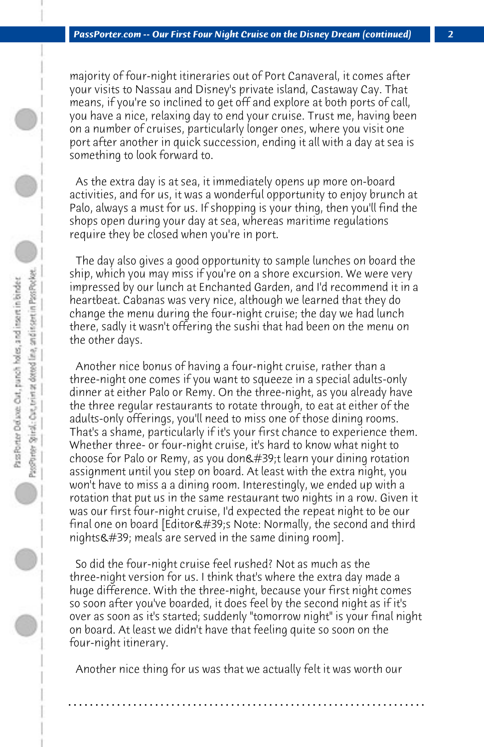majority of four-night itineraries out of Port Canaveral, it comes after your visits to Nassau and Disney's private island, Castaway Cay. That means, if you're so inclined to get off and explore at both ports of call, you have a nice, relaxing day to end your cruise. Trust me, having been on a number of cruises, particularly longer ones, where you visit one port after another in quick succession, ending it all with a day at sea is something to look forward to.

 As the extra day is at sea, it immediately opens up more on-board activities, and for us, it was a wonderful opportunity to enjoy brunch at Palo, always a must for us. If shopping is your thing, then you'll find the shops open during your day at sea, whereas maritime regulations require they be closed when you're in port.

 The day also gives a good opportunity to sample lunches on board the ship, which you may miss if you're on a shore excursion. We were very impressed by our lunch at Enchanted Garden, and I'd recommend it in a heartbeat. Cabanas was very nice, although we learned that they do change the menu during the four-night cruise; the day we had lunch there, sadly it wasn't offering the sushi that had been on the menu on the other days.

 Another nice bonus of having a four-night cruise, rather than a three-night one comes if you want to squeeze in a special adults-only dinner at either Palo or Remy. On the three-night, as you already have the three regular restaurants to rotate through, to eat at either of the adults-only offerings, you'll need to miss one of those dining rooms. That's a shame, particularly if it's your first chance to experience them. Whether three- or four-night cruise, it's hard to know what night to choose for Palo or Remy, as you don't learn your dining rotation assignment until you step on board. At least with the extra night, you won't have to miss a a dining room. Interestingly, we ended up with a rotation that put us in the same restaurant two nights in a row. Given it was our first four-night cruise, I'd expected the repeat night to be our final one on board [Editor's Note: Normally, the second and third nights $\&$ #39; meals are served in the same dining room].

 So did the four-night cruise feel rushed? Not as much as the three-night version for us. I think that's where the extra day made a huge difference. With the three-night, because your first night comes so soon after you've boarded, it does feel by the second night as if it's over as soon as it's started; suddenly "tomorrow night" is your final night on board. At least we didn't have that feeling quite so soon on the four-night itinerary.

 Another nice thing for us was that we actually felt it was worth our

**. . . . . . . . . . . . . . . . . . . . . . . . . . . . . . . . . . . . . . . . . . . . . . . . . . . . . . . . . . . . . . . . . .**